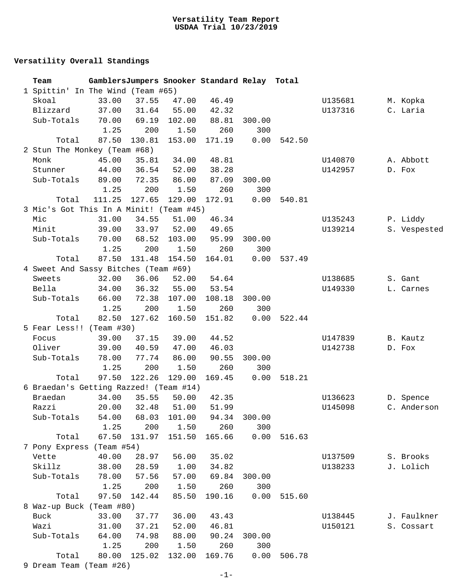## **Versatility Overall Standings**

| Team                                    |        |             |              | GamblersJumpers Snooker Standard Relay Total |        |        |         |              |
|-----------------------------------------|--------|-------------|--------------|----------------------------------------------|--------|--------|---------|--------------|
| 1 Spittin' In The Wind (Team #65)       |        |             |              |                                              |        |        |         |              |
| Skoal                                   | 33.00  | 37.55       | 47.00        | 46.49                                        |        |        | U135681 | M. Kopka     |
| Blizzard                                | 37.00  | 31.64       | 55.00        | 42.32                                        |        |        | U137316 | C. Laria     |
| Sub-Totals                              | 70.00  | 69.19       | 102.00       | 88.81                                        | 300.00 |        |         |              |
|                                         | 1.25   | 200         | 1.50         | 260                                          | 300    |        |         |              |
| Total                                   | 87.50  | 130.81      | 153.00       | 171.19                                       | 0.00   | 542.50 |         |              |
| 2 Stun The Monkey (Team #68)            |        |             |              |                                              |        |        |         |              |
| Monk                                    | 45.00  | 35.81       | 34.00        | 48.81                                        |        |        | U140870 | A. Abbott    |
| Stunner                                 | 44.00  | 36.54       | 52.00        | 38.28                                        |        |        | U142957 | D. Fox       |
| Sub-Totals                              | 89.00  | 72.35       | 86.00        | 87.09                                        | 300.00 |        |         |              |
|                                         | 1.25   | 200         | 1.50         | 260                                          | 300    |        |         |              |
| Total                                   | 111.25 | 127.65      | 129.00       | 172.91                                       | 0.00   | 540.81 |         |              |
| 3 Mic's Got This In A Minit! (Team #45) |        |             |              |                                              |        |        |         |              |
| Mic                                     | 31.00  | 34.55       | 51.00        | 46.34                                        |        |        | U135243 | P. Liddy     |
| Minit                                   | 39.00  | 33.97       | 52.00        | 49.65                                        |        |        | U139214 | S. Vespested |
| Sub-Totals                              | 70.00  | 68.52       | 103.00       | 95.99                                        | 300.00 |        |         |              |
|                                         | 1.25   | 200         | 1.50         | 260                                          | 300    |        |         |              |
| Total                                   | 87.50  | 131.48      | 154.50       | 164.01                                       | 0.00   | 537.49 |         |              |
| 4 Sweet And Sassy Bitches (Team #69)    |        |             |              |                                              |        |        |         |              |
| Sweets                                  | 32.00  | 36.06       | 52.00        | 54.64                                        |        |        | U138685 | S. Gant      |
| Bella                                   | 34.00  | 36.32       | 55.00        | 53.54                                        |        |        | U149330 | L. Carnes    |
| Sub-Totals                              | 66.00  | 72.38       | 107.00       | 108.18                                       | 300.00 |        |         |              |
|                                         | 1.25   | 200         | 1.50         | 260                                          | 300    |        |         |              |
| Total                                   | 82.50  | 127.62      | 160.50       | 151.82                                       | 0.00   | 522.44 |         |              |
| 5 Fear Less!! (Team #30)                |        |             |              |                                              |        |        |         |              |
| Focus                                   | 39.00  | 37.15       | 39.00        | 44.52                                        |        |        | U147839 | B. Kautz     |
| Oliver                                  | 39.00  | 40.59       | 47.00        | 46.03                                        |        |        | U142738 | D. Fox       |
| Sub-Totals                              | 78.00  | 77.74       | 86.00        | 90.55                                        | 300.00 |        |         |              |
|                                         | 1.25   | 200         | 1.50         | 260                                          | 300    |        |         |              |
| Total                                   | 97.50  | 122.26      | 129.00       | 169.45                                       | 0.00   | 518.21 |         |              |
| 6 Braedan's Getting Razzed! (Team #14)  |        |             |              |                                              |        |        |         |              |
| Braedan                                 | 34.00  | 35.55       | 50.00        | 42.35                                        |        |        | U136623 | D. Spence    |
| Razzi                                   |        | 20.00 32.48 | 51.00        | 51.99                                        |        |        | U145098 | C. Anderson  |
| Sub-Totals                              | 54.00  |             | 68.03 101.00 | 94.34 300.00                                 |        |        |         |              |
|                                         | 1.25   | 200         | 1.50         | 260                                          | 300    |        |         |              |
| Total                                   | 67.50  | 131.97      | 151.50       | 165.66                                       | 0.00   | 516.63 |         |              |
| 7 Pony Express (Team #54)               |        |             |              |                                              |        |        |         |              |
| Vette                                   | 40.00  | 28.97       | 56.00        | 35.02                                        |        |        | U137509 | S. Brooks    |
| Skillz                                  | 38.00  | 28.59       | 1.00         | 34.82                                        |        |        | U138233 | J. Lolich    |
| Sub-Totals                              | 78.00  | 57.56       | 57.00        | 69.84                                        | 300.00 |        |         |              |
|                                         | 1.25   | 200         | 1.50         | 260                                          | 300    |        |         |              |
| Total                                   | 97.50  | 142.44      | 85.50        | 190.16                                       | 0.00   | 515.60 |         |              |
| 8 Waz-up Buck (Team #80)                |        |             |              |                                              |        |        |         |              |
| Buck                                    | 33.00  | 37.77       | 36.00        | 43.43                                        |        |        | U138445 | J. Faulkner  |
| Wazi                                    | 31.00  | 37.21       | 52.00        | 46.81                                        |        |        | U150121 | S. Cossart   |
| Sub-Totals                              | 64.00  | 74.98       | 88.00        | 90.24                                        | 300.00 |        |         |              |
|                                         | 1.25   | 200         | 1.50         | 260                                          | 300    |        |         |              |
| Total                                   | 80.00  | 125.02      | 132.00       | 169.76                                       | 0.00   | 506.78 |         |              |
| 9 Dream Team (Team #26)                 |        |             |              |                                              |        |        |         |              |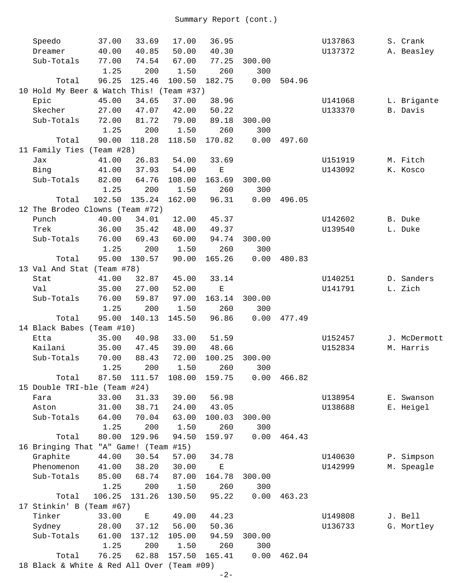| Speedo                                     | 37.00  | 33.69                                                                                          | 17.00  | 36.95       |               |        | U137863 | S. Crank     |
|--------------------------------------------|--------|------------------------------------------------------------------------------------------------|--------|-------------|---------------|--------|---------|--------------|
| Dreamer                                    | 40.00  | 40.85                                                                                          | 50.00  | 40.30       |               |        | U137372 | A. Beasley   |
| Sub-Totals                                 | 77.00  | 74.54                                                                                          | 67.00  | 77.25       | 300.00        |        |         |              |
|                                            | 1.25   | 200                                                                                            | 1.50   | 260         | 300           |        |         |              |
| Total                                      | 96.25  | 125.46                                                                                         | 100.50 | 182.75      | 0.00          | 504.96 |         |              |
| 10 Hold My Beer & Watch This! (Team #37)   |        |                                                                                                |        |             |               |        |         |              |
| Epic                                       | 45.00  | 34.65                                                                                          | 37.00  | 38.96       |               |        | U141068 | L. Brigante  |
| Skecher                                    | 27.00  | 47.07                                                                                          | 42.00  | 50.22       |               |        | U133370 | B. Davis     |
| Sub-Totals                                 | 72.00  | 81.72                                                                                          | 79.00  | 89.18       | 300.00        |        |         |              |
|                                            | 1.25   | 200                                                                                            | 1.50   | 260         | 300           |        |         |              |
| Total                                      | 90.00  | 118.28                                                                                         | 118.50 | 170.82      | 0.00          | 497.60 |         |              |
| 11 Family Ties (Team #28)                  |        |                                                                                                |        |             |               |        |         |              |
| Jax                                        | 41.00  | 26.83                                                                                          | 54.00  | 33.69       |               |        | U151919 | M. Fitch     |
| Bing                                       | 41.00  | 37.93                                                                                          | 54.00  | $\mathbf E$ |               |        | U143092 | K. Kosco     |
| Sub-Totals                                 | 82.00  | 64.76                                                                                          | 108.00 | 163.69      | 300.00        |        |         |              |
|                                            | 1.25   | 200                                                                                            | 1.50   | 260         | 300           |        |         |              |
| Total                                      | 102.50 | 135.24                                                                                         | 162.00 | 96.31       | 0.00          | 496.05 |         |              |
| 12 The Brodeo Clowns (Team #72)            |        |                                                                                                |        |             |               |        |         |              |
| Punch                                      | 40.00  | 34.01                                                                                          | 12.00  | 45.37       |               |        | U142602 | B. Duke      |
| Trek                                       | 36.00  | 35.42                                                                                          | 48.00  | 49.37       |               |        | U139540 | L. Duke      |
| Sub-Totals                                 |        |                                                                                                | 60.00  | 94.74       |               |        |         |              |
|                                            | 76.00  | 69.43                                                                                          |        | 260         | 300.00<br>300 |        |         |              |
|                                            | 1.25   | 200                                                                                            | 1.50   |             |               |        |         |              |
| Total                                      | 95.00  | 130.57                                                                                         | 90.00  | 165.26      | 0.00          | 480.83 |         |              |
| 13 Val And Stat (Team #78)                 |        |                                                                                                |        |             |               |        |         |              |
| Stat                                       | 41.00  | 32.87                                                                                          | 45.00  | 33.14       |               |        | U140251 | D. Sanders   |
| Val                                        | 35.00  | 27.00                                                                                          | 52.00  | $\mathbf E$ |               |        | U141791 | L. Zich      |
| Sub-Totals                                 | 76.00  | 59.87                                                                                          | 97.00  | 163.14      | 300.00        |        |         |              |
|                                            | 1.25   | 200                                                                                            | 1.50   | 260         | 300           |        |         |              |
| Total                                      | 95.00  | 140.13                                                                                         | 145.50 | 96.86       | 0.00          | 477.49 |         |              |
| 14 Black Babes (Team #10)                  |        |                                                                                                |        |             |               |        |         |              |
| Etta                                       | 35.00  | 40.98                                                                                          | 33.00  | 51.59       |               |        | U152457 | J. McDermott |
| Kailani                                    | 35.00  | 47.45                                                                                          | 39.00  | 48.66       |               |        | U152834 | M. Harris    |
| Sub-Totals                                 | 70.00  | 88.43                                                                                          | 72.00  | 100.25      | 300.00        |        |         |              |
|                                            |        | 1.25 200                                                                                       | 1.50   |             | 260 300       |        |         |              |
| Total                                      | 87.50  | 111.57                                                                                         | 108.00 | 159.75      | 0.00          | 466.82 |         |              |
| 15 Double TRI-ble (Team #24)               |        |                                                                                                |        |             |               |        |         |              |
| Fara                                       | 33.00  | 31.33                                                                                          | 39.00  | 56.98       |               |        | U138954 | E. Swanson   |
| Aston                                      | 31.00  | 38.71                                                                                          | 24.00  | 43.05       |               |        | U138688 | E. Heigel    |
| Sub-Totals                                 | 64.00  | 70.04                                                                                          | 63.00  | 100.03      | 300.00        |        |         |              |
|                                            | 1.25   | 200                                                                                            | 1.50   | 260         | 300           |        |         |              |
| Total                                      | 80.00  | 129.96                                                                                         | 94.50  | 159.97      | 0.00          | 464.43 |         |              |
| 16 Bringing That "A" Game! (Team #15)      |        |                                                                                                |        |             |               |        |         |              |
| Graphite                                   | 44.00  | 30.54                                                                                          | 57.00  | 34.78       |               |        | U140630 | P. Simpson   |
| Phenomenon                                 | 41.00  | 38.20                                                                                          | 30.00  | $\mathbf E$ |               |        | U142999 | M. Speagle   |
| Sub-Totals                                 | 85.00  | 68.74                                                                                          | 87.00  | 164.78      | 300.00        |        |         |              |
|                                            | 1.25   | 200                                                                                            | 1.50   | 260         | 300           |        |         |              |
| Total                                      | 106.25 | 131.26                                                                                         | 130.50 | 95.22       | 0.00          | 463.23 |         |              |
| 17 Stinkin' B (Team #67)                   |        |                                                                                                |        |             |               |        |         |              |
| Tinker                                     | 33.00  | $\mathbf{E}% _{t}\left  \mathbf{1}\right\rangle =\mathbf{1}_{t}\left  \mathbf{1}\right\rangle$ | 49.00  | 44.23       |               |        | U149808 | J. Bell      |
| Sydney                                     | 28.00  | 37.12                                                                                          | 56.00  | 50.36       |               |        | U136733 | G. Mortley   |
| Sub-Totals                                 | 61.00  | 137.12                                                                                         | 105.00 | 94.59       | 300.00        |        |         |              |
|                                            | 1.25   | 200                                                                                            | 1.50   | 260         | 300           |        |         |              |
| Total                                      | 76.25  | 62.88                                                                                          | 157.50 | 165.41      | 0.00          | 462.04 |         |              |
| 18 Black & White & Red All Over (Team #09) |        |                                                                                                |        |             |               |        |         |              |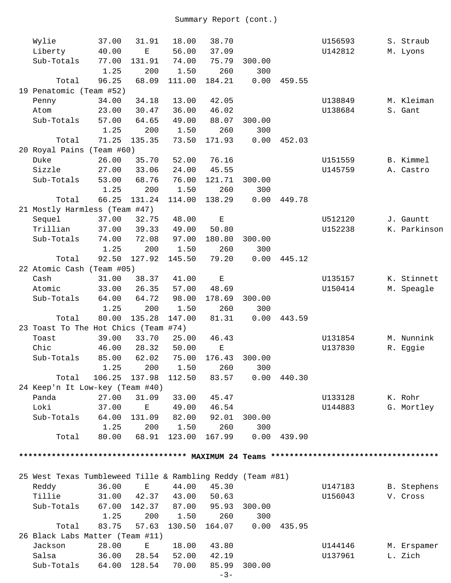| Wylie                                                      | 37.00  | 31.91                                                                                          | 18.00  | 38.70       |        |        | U156593 | S. Straub    |
|------------------------------------------------------------|--------|------------------------------------------------------------------------------------------------|--------|-------------|--------|--------|---------|--------------|
| Liberty                                                    | 40.00  | $\mathbf E$                                                                                    | 56.00  | 37.09       |        |        | U142812 | M. Lyons     |
| Sub-Totals                                                 | 77.00  | 131.91                                                                                         | 74.00  | 75.79       | 300.00 |        |         |              |
|                                                            | 1.25   | 200                                                                                            | 1.50   | 260         | 300    |        |         |              |
| Total                                                      | 96.25  | 68.09                                                                                          | 111.00 | 184.21      | 0.00   | 459.55 |         |              |
| 19 Penatomic (Team #52)                                    |        |                                                                                                |        |             |        |        |         |              |
| Penny                                                      | 34.00  | 34.18                                                                                          | 13.00  | 42.05       |        |        | U138849 | M. Kleiman   |
| Atom                                                       | 23.00  | 30.47                                                                                          | 36.00  | 46.02       |        |        | U138684 | S. Gant      |
| Sub-Totals                                                 | 57.00  | 64.65                                                                                          | 49.00  | 88.07       | 300.00 |        |         |              |
|                                                            | 1.25   | 200                                                                                            | 1.50   | 260         | 300    |        |         |              |
| Total                                                      | 71.25  | 135.35                                                                                         | 73.50  | 171.93      | 0.00   | 452.03 |         |              |
| 20 Royal Pains (Team #60)                                  |        |                                                                                                |        |             |        |        |         |              |
| Duke                                                       | 26.00  | 35.70                                                                                          | 52.00  | 76.16       |        |        | U151559 | B. Kimmel    |
| Sizzle                                                     | 27.00  | 33.06                                                                                          | 24.00  | 45.55       |        |        | U145759 | A. Castro    |
| Sub-Totals                                                 | 53.00  | 68.76                                                                                          | 76.00  | 121.71      | 300.00 |        |         |              |
|                                                            | 1.25   | 200                                                                                            | 1.50   | 260         | 300    |        |         |              |
| Total                                                      | 66.25  | 131.24                                                                                         | 114.00 | 138.29      | 0.00   | 449.78 |         |              |
| 21 Mostly Harmless (Team #47)                              |        |                                                                                                |        |             |        |        |         |              |
| Sequel                                                     | 37.00  | 32.75                                                                                          | 48.00  | $\mathbf E$ |        |        | U512120 | J. Gauntt    |
| Trillian                                                   | 37.00  | 39.33                                                                                          | 49.00  | 50.80       |        |        | U152238 | K. Parkinson |
| Sub-Totals                                                 | 74.00  | 72.08                                                                                          | 97.00  | 180.80      | 300.00 |        |         |              |
|                                                            | 1.25   | 200                                                                                            | 1.50   | 260         | 300    |        |         |              |
| Total                                                      | 92.50  | 127.92                                                                                         | 145.50 | 79.20       | 0.00   | 445.12 |         |              |
| 22 Atomic Cash (Team #05)                                  |        |                                                                                                |        |             |        |        |         |              |
| Cash                                                       | 31.00  | 38.37                                                                                          | 41.00  | $\mathbf E$ |        |        | U135157 | K. Stinnett  |
| Atomic                                                     | 33.00  | 26.35                                                                                          | 57.00  | 48.69       |        |        | U150414 | M. Speagle   |
| Sub-Totals                                                 | 64.00  | 64.72                                                                                          | 98.00  | 178.69      | 300.00 |        |         |              |
|                                                            | 1.25   | 200                                                                                            | 1.50   | 260         | 300    |        |         |              |
| Total                                                      | 80.00  | 135.28                                                                                         | 147.00 | 81.31       | 0.00   | 443.59 |         |              |
| 23 Toast To The Hot Chics (Team #74)                       |        |                                                                                                |        |             |        |        |         |              |
| Toast                                                      | 39.00  | 33.70                                                                                          | 25.00  | 46.43       |        |        | U131854 | M. Nunnink   |
| Chic                                                       | 46.00  | 28.32                                                                                          | 50.00  | $\mathbf E$ |        |        | U137830 | R. Eggie     |
| Sub-Totals                                                 | 85.00  | 62.02                                                                                          | 75.00  | 176.43      | 300.00 |        |         |              |
|                                                            | 1.25   | 200                                                                                            | 1.50   | 260         | 300    |        |         |              |
| Total                                                      | 106.25 | 137.98                                                                                         | 112.50 | 83.57       | 0.00   | 440.30 |         |              |
| 24 Keep'n It Low-key (Team #40)                            |        |                                                                                                |        |             |        |        |         |              |
| Panda                                                      | 27.00  | 31.09                                                                                          | 33.00  | 45.47       |        |        | U133128 | K. Rohr      |
| Loki                                                       | 37.00  | $\mathbf E$                                                                                    | 49.00  | 46.54       |        |        | U144883 | G. Mortley   |
| Sub-Totals                                                 | 64.00  | 131.09                                                                                         | 82.00  | 92.01       | 300.00 |        |         |              |
|                                                            | 1.25   | 200                                                                                            | 1.50   | 260         | 300    |        |         |              |
| Total                                                      | 80.00  | 68.91                                                                                          | 123.00 | 167.99      | 0.00   | 439.90 |         |              |
|                                                            |        |                                                                                                |        |             |        |        |         |              |
|                                                            |        |                                                                                                |        |             |        |        |         |              |
| 25 West Texas Tumbleweed Tille & Rambling Reddy (Team #81) |        |                                                                                                |        |             |        |        |         |              |
| Reddy                                                      | 36.00  | $\mathbf{E}% _{t}\left  \mathbf{1}\right\rangle =\mathbf{1}_{t}\left  \mathbf{1}\right\rangle$ | 44.00  | 45.30       |        |        | U147183 | B. Stephens  |
| Tillie                                                     | 31.00  | 42.37                                                                                          | 43.00  | 50.63       |        |        | U156043 | V. Cross     |
| Sub-Totals                                                 | 67.00  | 142.37                                                                                         | 87.00  | 95.93       | 300.00 |        |         |              |
|                                                            | 1.25   | 200                                                                                            | 1.50   | 260         | 300    |        |         |              |
| Total                                                      | 83.75  | 57.63                                                                                          | 130.50 | 164.07      | 0.00   | 435.95 |         |              |
| 26 Black Labs Matter (Team #11)                            |        |                                                                                                |        |             |        |        |         |              |
| Jackson                                                    | 28.00  | $\mathbf{E}% _{0}$                                                                             | 18.00  | 43.80       |        |        | U144146 | M. Erspamer  |
| Salsa                                                      | 36.00  | 28.54                                                                                          | 52.00  | 42.19       |        |        | U137961 | L. Zich      |
| Sub-Totals                                                 | 64.00  | 128.54                                                                                         | 70.00  | 85.99       | 300.00 |        |         |              |
|                                                            |        |                                                                                                |        |             |        |        |         |              |

```
-3-
```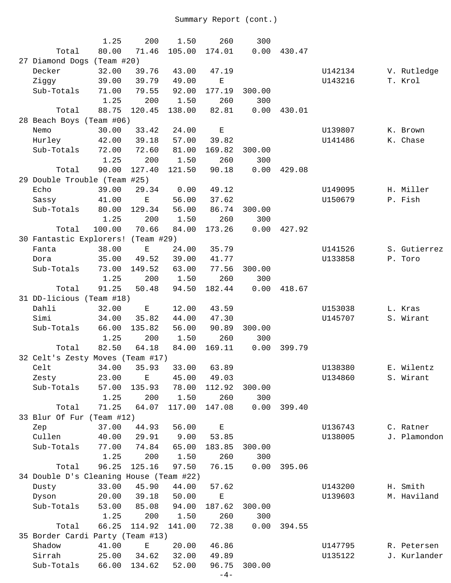|                                         | 1.25   | 200                     | 1.50   | 260         | 300    |        |         |              |
|-----------------------------------------|--------|-------------------------|--------|-------------|--------|--------|---------|--------------|
| Total                                   | 80.00  | 71.46                   | 105.00 | 174.01      | 0.00   | 430.47 |         |              |
| 27 Diamond Dogs (Team #20)              |        |                         |        |             |        |        |         |              |
| Decker                                  | 32.00  | 39.76                   | 43.00  | 47.19       |        |        | U142134 | V. Rutledge  |
| Ziggy                                   | 39.00  | 39.79                   | 49.00  | E           |        |        | U143216 | T. Krol      |
| Sub-Totals                              | 71.00  | 79.55                   | 92.00  | 177.19      | 300.00 |        |         |              |
|                                         | 1.25   | 200                     | 1.50   | 260         | 300    |        |         |              |
| Total                                   | 88.75  | 120.45                  | 138.00 | 82.81       | 0.00   | 430.01 |         |              |
| 28 Beach Boys (Team #06)                |        |                         |        |             |        |        |         |              |
| Nemo                                    | 30.00  | 33.42                   | 24.00  | $\mathbf E$ |        |        | U139807 | K. Brown     |
| Hurley                                  | 42.00  | 39.18                   | 57.00  | 39.82       |        |        | U141486 | K. Chase     |
| Sub-Totals                              | 72.00  | 72.60                   | 81.00  | 169.82      | 300.00 |        |         |              |
|                                         | 1.25   | 200                     | 1.50   | 260         | 300    |        |         |              |
| Total                                   | 90.00  | 127.40                  | 121.50 | 90.18       | 0.00   | 429.08 |         |              |
| 29 Double Trouble (Team #25)            |        |                         |        |             |        |        |         |              |
| Echo                                    | 39.00  | 29.34                   | 0.00   | 49.12       |        |        | U149095 | H. Miller    |
| Sassy                                   | 41.00  | $\mathbf E$             | 56.00  | 37.62       |        |        | U150679 | P. Fish      |
| Sub-Totals                              | 80.00  | 129.34                  | 56.00  | 86.74       | 300.00 |        |         |              |
|                                         | 1.25   | 200                     | 1.50   | 260         | 300    |        |         |              |
| Total                                   | 100.00 | 70.66                   | 84.00  | 173.26      | 0.00   | 427.92 |         |              |
| 30 Fantastic Explorers! (Team #29)      |        |                         |        |             |        |        |         |              |
| Fanta                                   | 38.00  | $\mathbf E$             | 24.00  | 35.79       |        |        | U141526 | S. Gutierrez |
| Dora                                    | 35.00  | 49.52                   | 39.00  | 41.77       |        |        | U133858 | P. Toro      |
| Sub-Totals                              | 73.00  | 149.52                  | 63.00  | 77.56       | 300.00 |        |         |              |
|                                         | 1.25   | 200                     | 1.50   | 260         | 300    |        |         |              |
|                                         |        |                         |        |             |        |        |         |              |
| Total                                   | 91.25  | 50.48                   | 94.50  | 182.44      | 0.00   | 418.67 |         |              |
| 31 DD-licious (Team #18)                |        |                         |        |             |        |        |         |              |
| Dahli                                   | 32.00  | Е                       | 12.00  | 43.59       |        |        | U153038 | L. Kras      |
| Simi                                    | 34.00  | 35.82                   | 44.00  | 47.30       |        |        | U145707 | S. Wirant    |
| Sub-Totals                              | 66.00  | 135.82                  | 56.00  | 90.89       | 300.00 |        |         |              |
|                                         | 1.25   | 200                     | 1.50   | 260         | 300    |        |         |              |
| Total                                   | 82.50  | 64.18                   | 84.00  | 169.11      | 0.00   | 399.79 |         |              |
| 32 Celt's Zesty Moves (Team #17)        |        |                         |        |             |        |        |         |              |
| Celt                                    |        | 34.00 35.93 33.00 63.89 |        |             |        |        | U138380 | E. Wilentz   |
| Zesty                                   | 23.00  | Ε                       | 45.00  | 49.03       |        |        | U134860 | S. Wirant    |
| Sub-Totals                              | 57.00  | 135.93                  | 78.00  | 112.92      | 300.00 |        |         |              |
|                                         | 1.25   | 200                     | 1.50   | 260         | 300    |        |         |              |
| Total                                   | 71.25  | 64.07                   | 117.00 | 147.08      | 0.00   | 399.40 |         |              |
| 33 Blur Of Fur (Team #12)               |        |                         |        |             |        |        |         |              |
| Zep                                     | 37.00  | 44.93                   | 56.00  | $\mathbf E$ |        |        | U136743 | C. Ratner    |
| Cullen                                  | 40.00  | 29.91                   | 9.00   | 53.85       |        |        | U138005 | J. Plamondon |
| Sub-Totals                              | 77.00  | 74.84                   | 65.00  | 183.85      | 300.00 |        |         |              |
|                                         | 1.25   | 200                     | 1.50   | 260         | 300    |        |         |              |
| Total                                   | 96.25  | 125.16                  | 97.50  | 76.15       | 0.00   | 395.06 |         |              |
| 34 Double D's Cleaning House (Team #22) |        |                         |        |             |        |        |         |              |
| Dusty                                   | 33.00  | 45.90                   | 44.00  | 57.62       |        |        | U143200 | H. Smith     |
| Dyson                                   | 20.00  | 39.18                   | 50.00  | $\mathbf E$ |        |        | U139603 | M. Haviland  |
| Sub-Totals                              | 53.00  | 85.08                   | 94.00  | 187.62      | 300.00 |        |         |              |
|                                         | 1.25   | 200                     | 1.50   | 260         | 300    |        |         |              |
| Total                                   | 66.25  | 114.92                  | 141.00 | 72.38       | 0.00   | 394.55 |         |              |
| 35 Border Cardi Party (Team #13)        |        |                         |        |             |        |        |         |              |
| Shadow                                  | 41.00  | Ε                       | 20.00  | 46.86       |        |        | U147795 | R. Petersen  |
| Sirrah                                  | 25.00  | 34.62                   | 32.00  | 49.89       |        |        | U135122 | J. Kurlander |
| Sub-Totals                              | 66.00  | 134.62                  | 52.00  | 96.75       | 300.00 |        |         |              |
|                                         |        |                         |        | $-4-$       |        |        |         |              |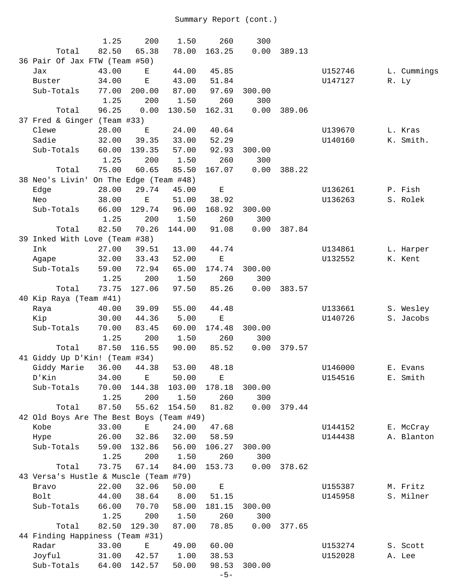|                                          | 1.25  | 200                    | 1.50   | 260         | 300    |        |         |       |             |
|------------------------------------------|-------|------------------------|--------|-------------|--------|--------|---------|-------|-------------|
| Total                                    | 82.50 | 65.38                  | 78.00  | 163.25      | 0.00   | 389.13 |         |       |             |
| 36 Pair Of Jax FTW (Team #50)            |       |                        |        |             |        |        |         |       |             |
| Jax                                      | 43.00 | Е                      | 44.00  | 45.85       |        |        | U152746 |       | L. Cummings |
| Buster                                   | 34.00 | $\mathbf E$            | 43.00  | 51.84       |        |        | U147127 | R. Ly |             |
| Sub-Totals                               | 77.00 | 200.00                 | 87.00  | 97.69       | 300.00 |        |         |       |             |
|                                          | 1.25  | 200                    | 1.50   | 260         | 300    |        |         |       |             |
| Total                                    | 96.25 | 0.00                   | 130.50 | 162.31      | 0.00   | 389.06 |         |       |             |
| 37 Fred & Ginger (Team #33)              |       |                        |        |             |        |        |         |       |             |
| Clewe                                    | 28.00 | E                      | 24.00  | 40.64       |        |        | U139670 |       | L. Kras     |
| Sadie                                    | 32.00 | 39.35                  | 33.00  | 52.29       |        |        | U140160 |       | K. Smith.   |
| Sub-Totals                               | 60.00 | 139.35                 | 57.00  | 92.93       | 300.00 |        |         |       |             |
|                                          | 1.25  | 200                    | 1.50   | 260         | 300    |        |         |       |             |
| Total                                    | 75.00 | 60.65                  | 85.50  | 167.07      | 0.00   | 388.22 |         |       |             |
| 38 Neo's Livin'                          |       | On The Edge (Team #48) |        |             |        |        |         |       |             |
| Edge                                     | 28.00 | 29.74                  | 45.00  | $\mathbf E$ |        |        | U136261 |       | P. Fish     |
| Neo                                      | 38.00 | Е                      | 51.00  | 38.92       |        |        | U136263 |       | S. Rolek    |
| Sub-Totals                               | 66.00 | 129.74                 | 96.00  | 168.92      | 300.00 |        |         |       |             |
|                                          | 1.25  | 200                    | 1.50   | 260         | 300    |        |         |       |             |
| Total                                    | 82.50 | 70.26                  | 144.00 | 91.08       | 0.00   | 387.84 |         |       |             |
| 39 Inked With Love (Team #38)            |       |                        |        |             |        |        |         |       |             |
| Ink                                      | 27.00 | 39.51                  | 13.00  | 44.74       |        |        | U134861 |       | L. Harper   |
| Agape                                    | 32.00 | 33.43                  | 52.00  | $\mathbf E$ |        |        | U132552 |       | K. Kent     |
| Sub-Totals                               | 59.00 | 72.94                  | 65.00  | 174.74      | 300.00 |        |         |       |             |
|                                          | 1.25  | 200                    | 1.50   | 260         | 300    |        |         |       |             |
| Total                                    | 73.75 | 127.06                 | 97.50  | 85.26       | 0.00   | 383.57 |         |       |             |
| 40 Kip Raya (Team #41)                   |       |                        |        |             |        |        |         |       |             |
| Raya                                     | 40.00 | 39.09                  | 55.00  | 44.48       |        |        | U133661 |       | S. Wesley   |
| Kip                                      | 30.00 | 44.36                  | 5.00   | $\mathbf E$ |        |        | U140726 |       | S. Jacobs   |
| Sub-Totals                               | 70.00 | 83.45                  | 60.00  | 174.48      | 300.00 |        |         |       |             |
|                                          | 1.25  | 200                    | 1.50   | 260         | 300    |        |         |       |             |
| Total                                    | 87.50 | 116.55                 | 90.00  | 85.52       | 0.00   | 379.57 |         |       |             |
| 41 Giddy Up D'Kin! (Team #34)            |       |                        |        |             |        |        |         |       |             |
| Giddy Marie 36.00 44.38                  |       |                        |        | 53.00 48.18 |        |        | U146000 |       | E. Evans    |
| D'Kin                                    | 34.00 | Ε                      | 50.00  | Ε           |        |        | U154516 |       | E. Smith    |
| Sub-Totals                               | 70.00 | 144.38                 | 103.00 | 178.18      | 300.00 |        |         |       |             |
|                                          | 1.25  | 200                    | 1.50   | 260         | 300    |        |         |       |             |
| Total                                    | 87.50 | 55.62                  | 154.50 | 81.82       | 0.00   | 379.44 |         |       |             |
| 42 Old Boys Are The Best Boys (Team #49) |       |                        |        |             |        |        |         |       |             |
| Kobe                                     | 33.00 | Е                      | 24.00  | 47.68       |        |        | U144152 |       | E. McCray   |
| Hype                                     | 26.00 | 32.86                  | 32.00  | 58.59       |        |        | U144438 |       | A. Blanton  |
| Sub-Totals                               | 59.00 | 132.86                 | 56.00  | 106.27      | 300.00 |        |         |       |             |
|                                          | 1.25  | 200                    | 1.50   | 260         | 300    |        |         |       |             |
| Total                                    | 73.75 | 67.14                  | 84.00  | 153.73      | 0.00   | 378.62 |         |       |             |
| 43 Versa's Hustle & Muscle (Team #79)    |       |                        |        |             |        |        |         |       |             |
| Bravo                                    | 22.00 | 32.06                  | 50.00  | $\mathbf E$ |        |        | U155387 |       | M. Fritz    |
| Bolt                                     | 44.00 | 38.64                  | 8.00   | 51.15       |        |        | U145958 |       | S. Milner   |
| Sub-Totals                               | 66.00 | 70.70                  | 58.00  | 181.15      | 300.00 |        |         |       |             |
|                                          | 1.25  | 200                    | 1.50   | 260         | 300    |        |         |       |             |
| Total                                    | 82.50 | 129.30                 | 87.00  | 78.85       | 0.00   | 377.65 |         |       |             |
| 44 Finding Happiness (Team #31)          |       |                        |        |             |        |        |         |       |             |
| Radar                                    | 33.00 | $\mathbf E$            | 49.00  | 60.00       |        |        | U153274 |       | S. Scott    |
| Joyful                                   | 31.00 | 42.57                  | 1.00   | 38.53       |        |        | U152028 |       | A. Lee      |
| Sub-Totals                               | 64.00 | 142.57                 | 50.00  | 98.53       | 300.00 |        |         |       |             |
|                                          |       |                        |        | $-5-$       |        |        |         |       |             |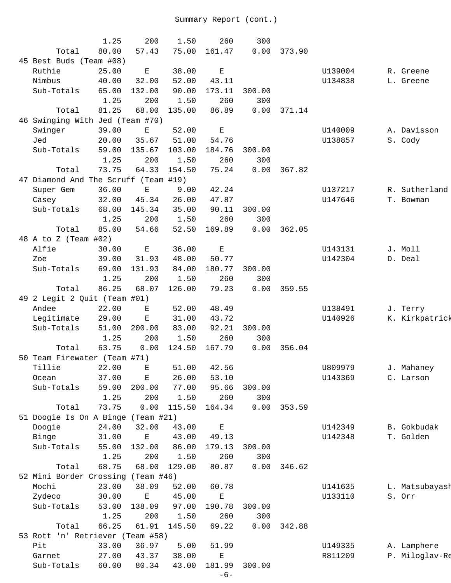|                                      | 1.25  | 200                | 1.50   | 260                | 300    |        |         |                |
|--------------------------------------|-------|--------------------|--------|--------------------|--------|--------|---------|----------------|
| Total                                | 80.00 | 57.43              | 75.00  | 161.47             | 0.00   | 373.90 |         |                |
| 45 Best Buds (Team #08)              |       |                    |        |                    |        |        |         |                |
|                                      |       |                    |        |                    |        |        |         |                |
| Ruthie                               | 25.00 | $\mathbf{E}% _{0}$ | 38.00  | $\mathbf{E}% _{0}$ |        |        | U139004 | R. Greene      |
| Nimbus                               | 40.00 | 32.00              | 52.00  | 43.11              |        |        | U134838 | L. Greene      |
| Sub-Totals                           | 65.00 | 132.00             | 90.00  | 173.11             | 300.00 |        |         |                |
|                                      | 1.25  | 200                | 1.50   | 260                | 300    |        |         |                |
| Total                                | 81.25 | 68.00              | 135.00 | 86.89              | 0.00   | 371.14 |         |                |
| 46 Swinging With Jed (Team #70)      |       |                    |        |                    |        |        |         |                |
| Swinger                              | 39.00 | Ε                  | 52.00  | $\mathbf E$        |        |        | U140009 | A. Davisson    |
| Jed                                  | 20.00 | 35.67              | 51.00  | 54.76              |        |        | U138857 | S. Cody        |
| Sub-Totals                           | 59.00 | 135.67             | 103.00 | 184.76             | 300.00 |        |         |                |
|                                      | 1.25  | 200                | 1.50   | 260                | 300    |        |         |                |
| Total                                | 73.75 | 64.33              | 154.50 | 75.24              | 0.00   | 367.82 |         |                |
| 47 Diamond And The Scruff (Team #19) |       |                    |        |                    |        |        |         |                |
| Super Gem                            | 36.00 | $\mathbf E$        | 9.00   | 42.24              |        |        | U137217 | R. Sutherland  |
| Casey                                | 32.00 | 45.34              | 26.00  | 47.87              |        |        | U147646 | T. Bowman      |
| Sub-Totals                           | 68.00 | 145.34             | 35.00  | 90.11              | 300.00 |        |         |                |
|                                      |       |                    |        |                    |        |        |         |                |
|                                      | 1.25  | 200                | 1.50   | 260                | 300    |        |         |                |
| Total                                | 85.00 | 54.66              | 52.50  | 169.89             | 0.00   | 362.05 |         |                |
| 48 A to Z (Team #02)                 |       |                    |        |                    |        |        |         |                |
| Alfie                                | 30.00 | $\mathbf E$        | 36.00  | $\mathbf E$        |        |        | U143131 | J. Moll        |
| Zoe                                  | 39.00 | 31.93              | 48.00  | 50.77              |        |        | U142304 | D. Deal        |
| Sub-Totals                           | 69.00 | 131.93             | 84.00  | 180.77             | 300.00 |        |         |                |
|                                      | 1.25  | 200                | 1.50   | 260                | 300    |        |         |                |
| Total                                | 86.25 | 68.07              | 126.00 | 79.23              | 0.00   | 359.55 |         |                |
| 49 2 Legit 2 Quit (Team #01)         |       |                    |        |                    |        |        |         |                |
| Andee                                | 22.00 | Е                  | 52.00  | 48.49              |        |        | U138491 | J. Terry       |
| Legitimate                           | 29.00 | $\mathbf E$        | 31.00  | 43.72              |        |        | U140926 | K. Kirkpatrick |
| Sub-Totals                           | 51.00 | 200.00             | 83.00  | 92.21              | 300.00 |        |         |                |
|                                      | 1.25  | 200                | 1.50   | 260                | 300    |        |         |                |
| Total                                | 63.75 | 0.00               | 124.50 | 167.79             | 0.00   | 356.04 |         |                |
| 50 Team Firewater (Team #71)         |       |                    |        |                    |        |        |         |                |
|                                      |       |                    |        |                    |        |        |         |                |
| Tillie                               | 22.00 | $\mathbf{E}$       |        | 51.00 42.56        |        |        | U809979 | J. Mahaney     |
| Ocean                                | 37.00 | Ε                  | 26.00  | 53.10              |        |        | U143369 | C. Larson      |
| Sub-Totals                           | 59.00 | 200.00             | 77.00  | 95.66              | 300.00 |        |         |                |
|                                      | 1.25  | 200                | 1.50   | 260                | 300    |        |         |                |
| Total                                | 73.75 | 0.00               | 115.50 | 164.34             | 0.00   | 353.59 |         |                |
| 51 Doogie Is On A Binge (Team #21)   |       |                    |        |                    |        |        |         |                |
| Doogie                               | 24.00 | 32.00              | 43.00  | $\mathbf E$        |        |        | U142349 | B. Gokbudak    |
| Binge                                | 31.00 | Е                  | 43.00  | 49.13              |        |        | U142348 | T. Golden      |
| Sub-Totals                           | 55.00 | 132.00             | 86.00  | 179.13             | 300.00 |        |         |                |
|                                      | 1.25  | 200                | 1.50   | 260                | 300    |        |         |                |
| Total                                | 68.75 | 68.00              | 129.00 | 80.87              | 0.00   | 346.62 |         |                |
| 52 Mini Border Crossing (Team #46)   |       |                    |        |                    |        |        |         |                |
| Mochi                                | 23.00 | 38.09              | 52.00  | 60.78              |        |        | U141635 | L. Matsubayash |
| Zydeco                               |       | Ε                  | 45.00  | Е                  |        |        |         | S. Orr         |
|                                      | 30.00 |                    |        |                    |        |        | U133110 |                |
| Sub-Totals                           | 53.00 | 138.09             | 97.00  | 190.78             | 300.00 |        |         |                |
|                                      | 1.25  | 200                | 1.50   | 260                | 300    |        |         |                |
| Total                                | 66.25 | 61.91              | 145.50 | 69.22              | 0.00   | 342.88 |         |                |
| 53 Rott 'n' Retriever (Team #58)     |       |                    |        |                    |        |        |         |                |
| Pit                                  | 33.00 | 36.97              | 5.00   | 51.99              |        |        | U149335 | A. Lamphere    |
| Garnet                               | 27.00 | 43.37              | 38.00  | $\mathbf E$        |        |        | R811209 | P. Miloglav-Re |
| Sub-Totals                           | 60.00 | 80.34              | 43.00  | 181.99             | 300.00 |        |         |                |
|                                      |       |                    |        |                    |        |        |         |                |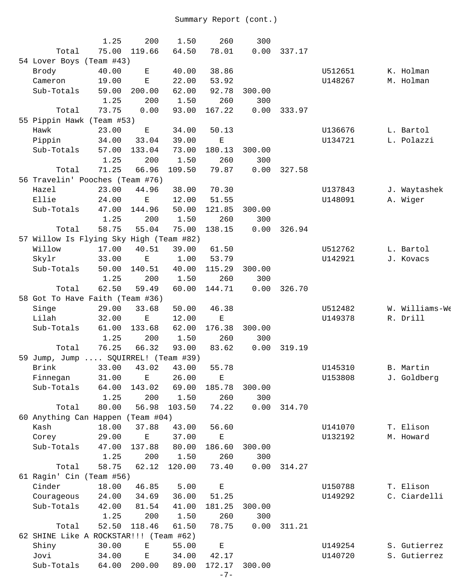|                                         | 1.25  | 200         | 1.50   | 260         | 300    |        |         |                |
|-----------------------------------------|-------|-------------|--------|-------------|--------|--------|---------|----------------|
| Total                                   | 75.00 | 119.66      | 64.50  | 78.01       | 0.00   | 337.17 |         |                |
| 54 Lover Boys (Team #43)                |       |             |        |             |        |        |         |                |
| Brody                                   | 40.00 | Ε           | 40.00  | 38.86       |        |        | U512651 | K. Holman      |
| Cameron                                 | 19.00 | $\mathbf E$ | 22.00  | 53.92       |        |        | U148267 | M. Holman      |
| Sub-Totals                              | 59.00 | 200.00      | 62.00  | 92.78       | 300.00 |        |         |                |
|                                         | 1.25  | 200         | 1.50   | 260         | 300    |        |         |                |
| Total                                   | 73.75 | 0.00        | 93.00  | 167.22      | 0.00   | 333.97 |         |                |
| 55 Pippin Hawk (Team #53)               |       |             |        |             |        |        |         |                |
| Hawk                                    | 23.00 | Ε           | 34.00  | 50.13       |        |        | U136676 | L. Bartol      |
| Pippin                                  | 34.00 | 33.04       | 39.00  | $\mathbf E$ |        |        | U134721 | L. Polazzi     |
| Sub-Totals                              | 57.00 | 133.04      | 73.00  | 180.13      | 300.00 |        |         |                |
|                                         | 1.25  | 200         | 1.50   | 260         | 300    |        |         |                |
| Total                                   | 71.25 | 66.96       | 109.50 | 79.87       | 0.00   | 327.58 |         |                |
| 56 Travelin' Pooches (Team #76)         |       |             |        |             |        |        |         |                |
| Hazel                                   | 23.00 | 44.96       | 38.00  | 70.30       |        |        | U137843 | J. Waytashek   |
| Ellie                                   | 24.00 | $\mathbf E$ | 12.00  | 51.55       |        |        | U148091 | A. Wiger       |
| Sub-Totals                              | 47.00 | 144.96      | 50.00  | 121.85      | 300.00 |        |         |                |
|                                         | 1.25  | 200         | 1.50   | 260         | 300    |        |         |                |
| Total                                   | 58.75 | 55.04       | 75.00  | 138.15      | 0.00   | 326.94 |         |                |
| 57 Willow Is Flying Sky High (Team #82) |       |             |        |             |        |        |         |                |
| Willow                                  | 17.00 | 40.51       | 39.00  | 61.50       |        |        | U512762 | L. Bartol      |
| Skylr                                   | 33.00 | $\mathbf E$ | 1.00   | 53.79       |        |        | U142921 | J. Kovacs      |
| Sub-Totals                              | 50.00 | 140.51      | 40.00  | 115.29      | 300.00 |        |         |                |
|                                         |       |             |        |             |        |        |         |                |
|                                         | 1.25  | 200         | 1.50   | 260         | 300    |        |         |                |
| Total                                   | 62.50 | 59.49       | 60.00  | 144.71      | 0.00   | 326.70 |         |                |
| 58 Got To Have Faith (Team #36)         |       |             |        |             |        |        |         |                |
| Singe                                   | 29.00 | 33.68       | 50.00  | 46.38       |        |        | U512482 | W. Williams-We |
| Lilah                                   | 32.00 | $\mathbf E$ | 12.00  | $\mathbf E$ |        |        | U149378 | R. Drill       |
| Sub-Totals                              | 61.00 | 133.68      | 62.00  | 176.38      | 300.00 |        |         |                |
|                                         | 1.25  | 200         | 1.50   | 260         | 300    |        |         |                |
| Total                                   | 76.25 | 66.32       | 93.00  | 83.62       | 0.00   | 319.19 |         |                |
| 59 Jump, Jump  SQUIRREL! (Team #39)     |       |             |        |             |        |        |         |                |
| Brink 33.00 43.02                       |       |             | 43.00  | 55.78       |        |        | U145310 | B. Martin      |
| Finnegan                                | 31.00 | Е           | 26.00  | Е           |        |        | U153808 | J. Goldberg    |
| Sub-Totals                              | 64.00 | 143.02      | 69.00  | 185.78      | 300.00 |        |         |                |
|                                         | 1.25  | 200         | 1.50   | 260         | 300    |        |         |                |
| Total                                   | 80.00 | 56.98       | 103.50 | 74.22       | 0.00   | 314.70 |         |                |
| 60 Anything Can Happen (Team #04)       |       |             |        |             |        |        |         |                |
| Kash                                    | 18.00 | 37.88       | 43.00  | 56.60       |        |        | U141070 | T. Elison      |
| Corey                                   | 29.00 | $\mathbf E$ | 37.00  | $\mathbf E$ |        |        | U132192 | M. Howard      |
| Sub-Totals                              | 47.00 | 137.88      | 80.00  | 186.60      | 300.00 |        |         |                |
|                                         | 1.25  | 200         | 1.50   | 260         | 300    |        |         |                |
| Total                                   | 58.75 | 62.12       | 120.00 | 73.40       | 0.00   | 314.27 |         |                |
| 61 Ragin' Cin (Team #56)                |       |             |        |             |        |        |         |                |
| Cinder                                  | 18.00 | 46.85       | 5.00   | $\mathbf E$ |        |        | U150788 | T. Elison      |
| Courageous                              | 24.00 | 34.69       | 36.00  | 51.25       |        |        | U149292 | C. Ciardelli   |
| Sub-Totals                              | 42.00 | 81.54       | 41.00  | 181.25      | 300.00 |        |         |                |
|                                         | 1.25  | 200         | 1.50   | 260         | 300    |        |         |                |
| Total                                   | 52.50 | 118.46      | 61.50  | 78.75       | 0.00   | 311.21 |         |                |
| 62 SHINE Like A ROCKSTAR!!! (Team #62)  |       |             |        |             |        |        |         |                |
| Shiny                                   | 30.00 | $\mathbf E$ | 55.00  | $\mathbf E$ |        |        | U149254 | S. Gutierrez   |
| Jovi                                    | 34.00 | $\mathbf E$ | 34.00  | 42.17       |        |        | U140720 | S. Gutierrez   |
| Sub-Totals                              | 64.00 | 200.00      | 89.00  | 172.17      | 300.00 |        |         |                |
|                                         |       |             |        | $-7-$       |        |        |         |                |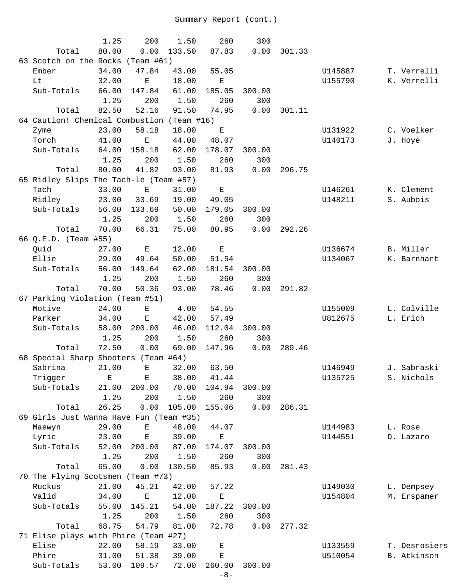|                                            | 1.25  | 200           | 1.50   | 260                | 300    |        |         |               |
|--------------------------------------------|-------|---------------|--------|--------------------|--------|--------|---------|---------------|
| Total                                      | 80.00 | 0.00          | 133.50 | 87.83              | 0.00   | 301.33 |         |               |
| 63 Scotch on the Rocks (Team #61)          |       |               |        |                    |        |        |         |               |
| Ember                                      | 34.00 | 47.84         | 43.00  | 55.05              |        |        | U145887 | T. Verrelli   |
| Lt                                         | 32.00 | $\mathbf E$   | 18.00  | Е                  |        |        | U155790 | K. Verrelli   |
| Sub-Totals                                 | 66.00 | 147.84        | 61.00  | 185.05             | 300.00 |        |         |               |
|                                            | 1.25  | 200           | 1.50   | 260                | 300    |        |         |               |
| Total                                      | 82.50 | 52.16         | 91.50  | 74.95              | 0.00   | 301.11 |         |               |
| 64 Caution! Chemical Combustion (Team #16) |       |               |        |                    |        |        |         |               |
| Zyme                                       | 23.00 | 58.18         | 18.00  | Е                  |        |        | U131922 | C. Voelker    |
| Torch                                      | 41.00 | $\mathbf E$   | 44.00  | 48.07              |        |        | U140173 | J. Hoye       |
| Sub-Totals                                 | 64.00 | 158.18        | 62.00  | 178.07             | 300.00 |        |         |               |
|                                            | 1.25  | 200           | 1.50   | 260                | 300    |        |         |               |
| Total                                      | 80.00 | 41.82         | 93.00  | 81.93              | 0.00   | 296.75 |         |               |
| 65 Ridley Slips The Tach-le (Team #57)     |       |               |        |                    |        |        |         |               |
| Tach                                       | 33.00 | $\mathbf E$   | 31.00  | $\mathbf{E}% _{0}$ |        |        | U146261 | K. Clement    |
| Ridley                                     | 23.00 | 33.69         | 19.00  | 49.05              |        |        | U148211 | S. Aubois     |
| Sub-Totals                                 | 56.00 | 133.69        | 50.00  | 179.05             | 300.00 |        |         |               |
|                                            | 1.25  | 200           | 1.50   | 260                | 300    |        |         |               |
| Total                                      | 70.00 | 66.31         | 75.00  | 80.95              | 0.00   | 292.26 |         |               |
| 66 Q.E.D. (Team #55)                       |       |               |        |                    |        |        |         |               |
| Quid                                       | 27.00 | Ε             | 12.00  | $\mathbf E$        |        |        | U136674 | B. Miller     |
| Ellie                                      | 29.00 | 49.64         | 50.00  | 51.54              |        |        | U134067 | K. Barnhart   |
| Sub-Totals                                 | 56.00 | 149.64        | 62.00  | 181.54             | 300.00 |        |         |               |
|                                            | 1.25  | 200           | 1.50   | 260                | 300    |        |         |               |
| Total                                      | 70.00 | 50.36         | 93.00  | 78.46              | 0.00   | 291.82 |         |               |
| 67 Parking Violation (Team #51)            |       |               |        |                    |        |        |         |               |
| Motive                                     | 24.00 | Ε             | 4.00   | 54.55              |        |        | U155009 | L. Colville   |
| Parker                                     | 34.00 | $\mathbf E$   | 42.00  | 57.49              |        |        | U812675 | L. Erich      |
| Sub-Totals                                 | 58.00 | 200.00        | 46.00  | 112.04             | 300.00 |        |         |               |
|                                            | 1.25  | 200           | 1.50   | 260                | 300    |        |         |               |
| Total                                      | 72.50 | 0.00          | 69.00  | 147.96             | 0.00   | 289.46 |         |               |
| 68 Special Sharp Shooters (Team #64)       |       |               |        |                    |        |        |         |               |
| Sabrina 21.00                              |       | E 32.00 63.50 |        |                    |        |        | U146949 | J. Sabraski   |
| Trigger                                    | Ε     | Е             | 38.00  | 41.44              |        |        | U135725 | S. Nichols    |
| Sub-Totals                                 | 21.00 | 200.00        | 70.00  | 104.94             | 300.00 |        |         |               |
|                                            | 1.25  | 200           | 1.50   | 260                | 300    |        |         |               |
| Total                                      | 26.25 | 0.00          | 105.00 | 155.06             | 0.00   | 286.31 |         |               |
| 69 Girls Just Wanna Have Fun (Team #35)    |       |               |        |                    |        |        |         |               |
| Maewyn                                     | 29.00 | E             | 48.00  | 44.07              |        |        | U144983 | L. Rose       |
| Lyric                                      | 23.00 | $\mathbf E$   | 39.00  | Ε                  |        |        | U144551 | D. Lazaro     |
| Sub-Totals                                 | 52.00 | 200.00        | 87.00  | 174.07             | 300.00 |        |         |               |
|                                            | 1.25  | 200           | 1.50   | 260                | 300    |        |         |               |
| Total                                      | 65.00 | 0.00          | 130.50 | 85.93              | 0.00   | 281.43 |         |               |
| 70 The Flying Scotsmen (Team #73)          |       |               |        |                    |        |        |         |               |
| Ruckus                                     | 21.00 | 45.21         | 42.00  | 57.22              |        |        | U149030 | L. Dempsey    |
| Valid                                      | 34.00 | $\mathbf E$   | 12.00  | Е                  |        |        | U154804 | M. Erspamer   |
| Sub-Totals                                 | 55.00 | 145.21        | 54.00  | 187.22             | 300.00 |        |         |               |
|                                            | 1.25  | 200           | 1.50   | 260                | 300    |        |         |               |
| Total                                      | 68.75 | 54.79         | 81.00  | 72.78              | 0.00   | 277.32 |         |               |
| 71 Elise plays with Phire (Team #27)       |       |               |        |                    |        |        |         |               |
| Elise                                      | 22.00 | 58.19         | 33.00  | $\mathbf E$        |        |        | U133559 | T. Desrosiers |
| Phire                                      | 31.00 | 51.38         | 39.00  | $\mathbf E$        |        |        | U510054 | B. Atkinson   |
| Sub-Totals                                 | 53.00 | 109.57        | 72.00  | 260.00             | 300.00 |        |         |               |
|                                            |       |               |        | $-8-$              |        |        |         |               |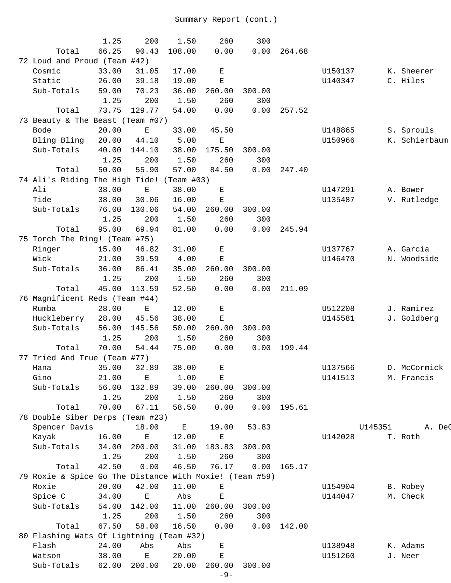|                                                         | 1.25  | 200                                                                                            | 1.50                                                                                           | 260                | 300    |        |         |         |               |
|---------------------------------------------------------|-------|------------------------------------------------------------------------------------------------|------------------------------------------------------------------------------------------------|--------------------|--------|--------|---------|---------|---------------|
| Total                                                   | 66.25 | 90.43                                                                                          | 108.00                                                                                         | 0.00               | 0.00   | 264.68 |         |         |               |
| 72 Loud and Proud (Team #42)                            |       |                                                                                                |                                                                                                |                    |        |        |         |         |               |
| Cosmic                                                  | 33.00 | 31.05                                                                                          | 17.00                                                                                          | Е                  |        |        | U150137 |         | K. Sheerer    |
| Static                                                  | 26.00 | 39.18                                                                                          | 19.00                                                                                          | $\mathbf{E}% _{0}$ |        |        | U140347 |         | C. Hiles      |
| Sub-Totals                                              | 59.00 | 70.23                                                                                          | 36.00                                                                                          | 260.00             | 300.00 |        |         |         |               |
|                                                         | 1.25  | 200                                                                                            | 1.50                                                                                           | 260                | 300    |        |         |         |               |
| Total                                                   | 73.75 | 129.77                                                                                         | 54.00                                                                                          | 0.00               | 0.00   | 257.52 |         |         |               |
| 73 Beauty & The Beast (Team #07)                        |       |                                                                                                |                                                                                                |                    |        |        |         |         |               |
| Bode                                                    | 20.00 | $\mathbf E$                                                                                    | 33.00                                                                                          | 45.50              |        |        | U148865 |         | S. Sprouls    |
| Bling Bling                                             | 20.00 | 44.10                                                                                          | 5.00                                                                                           | $\mathbf E$        |        |        | U150966 |         | K. Schierbaum |
| Sub-Totals                                              | 40.00 | 144.10                                                                                         | 38.00                                                                                          | 175.50             | 300.00 |        |         |         |               |
|                                                         | 1.25  | 200                                                                                            | 1.50                                                                                           | 260                | 300    |        |         |         |               |
| Total                                                   | 50.00 | 55.90                                                                                          | 57.00                                                                                          | 84.50              | 0.00   | 247.40 |         |         |               |
| 74 Ali's Riding The High Tide! (Team #03)               |       |                                                                                                |                                                                                                |                    |        |        |         |         |               |
| Ali                                                     | 38.00 | Ε                                                                                              | 38.00                                                                                          | Е                  |        |        | U147291 |         | A. Bower      |
| Tide                                                    | 38.00 | 30.06                                                                                          | 16.00                                                                                          | Е                  |        |        | U135487 |         | V. Rutledge   |
| Sub-Totals                                              | 76.00 | 130.06                                                                                         | 54.00                                                                                          | 260.00             | 300.00 |        |         |         |               |
|                                                         | 1.25  | 200                                                                                            | 1.50                                                                                           | 260                | 300    |        |         |         |               |
| Total                                                   | 95.00 | 69.94                                                                                          | 81.00                                                                                          | 0.00               | 0.00   | 245.94 |         |         |               |
| 75 Torch The Ring! (Team #75)                           |       |                                                                                                |                                                                                                |                    |        |        |         |         |               |
| Ringer                                                  | 15.00 | 46.82                                                                                          | 31.00                                                                                          | Ε                  |        |        | U137767 |         | A. Garcia     |
| Wick                                                    | 21.00 | 39.59                                                                                          | 4.00                                                                                           | $\mathbf{E}% _{0}$ |        |        | U146470 |         | N. Woodside   |
| Sub-Totals                                              | 36.00 |                                                                                                |                                                                                                |                    |        |        |         |         |               |
|                                                         |       | 86.41                                                                                          | 35.00                                                                                          | 260.00             | 300.00 |        |         |         |               |
|                                                         | 1.25  | 200                                                                                            | 1.50                                                                                           | 260                | 300    |        |         |         |               |
| Total                                                   | 45.00 | 113.59                                                                                         | 52.50                                                                                          | 0.00               | 0.00   | 211.09 |         |         |               |
| 76 Magnificent Reds (Team #44)                          |       |                                                                                                |                                                                                                |                    |        |        |         |         |               |
| Rumba                                                   | 28.00 | Ε                                                                                              | 12.00                                                                                          | Е                  |        |        | U512208 |         | J. Ramirez    |
| Huckleberry                                             | 28.00 | 45.56                                                                                          | 38.00                                                                                          | Е                  |        |        | U145581 |         | J. Goldberg   |
| Sub-Totals                                              | 56.00 | 145.56                                                                                         | 50.00                                                                                          | 260.00             | 300.00 |        |         |         |               |
|                                                         | 1.25  | 200                                                                                            | 1.50                                                                                           | 260                | 300    |        |         |         |               |
| Total                                                   | 70.00 | 54.44                                                                                          | 75.00                                                                                          | 0.00               | 0.00   | 199.44 |         |         |               |
| 77 Tried And True (Team #77)                            |       |                                                                                                |                                                                                                |                    |        |        |         |         |               |
| Hana                                                    | 35.00 | 32.89                                                                                          | 38.00                                                                                          | Е                  |        |        | U137566 |         | D. McCormick  |
| Gino                                                    | 21.00 | Е                                                                                              | 1.00                                                                                           | Е                  |        |        | U141513 |         | M. Francis    |
| Sub-Totals                                              | 56.00 | 132.89                                                                                         | 39.00                                                                                          | 260.00             | 300.00 |        |         |         |               |
|                                                         | 1.25  | 200                                                                                            | 1.50                                                                                           | 260                | 300    |        |         |         |               |
| Total                                                   | 70.00 | 67.11                                                                                          | 58.50                                                                                          | 0.00               | 0.00   | 195.61 |         |         |               |
| 78 Double Siber Derps (Team #23)                        |       |                                                                                                |                                                                                                |                    |        |        |         |         |               |
| Spencer Davis                                           |       | 18.00                                                                                          | $\mathbf{E}% _{t}\left  \mathbf{1}\right\rangle =\mathbf{1}_{t}\left  \mathbf{1}\right\rangle$ | 19.00              | 53.83  |        |         | U145351 | A. DeC        |
| Kayak                                                   | 16.00 | $\mathbf E$                                                                                    | 12.00                                                                                          | Е                  |        |        | U142028 |         | T. Roth       |
| Sub-Totals                                              | 34.00 | 200.00                                                                                         | 31.00                                                                                          | 183.83             | 300.00 |        |         |         |               |
|                                                         | 1.25  | 200                                                                                            | 1.50                                                                                           | 260                | 300    |        |         |         |               |
| Total                                                   | 42.50 | 0.00                                                                                           | 46.50                                                                                          | 76.17              | 0.00   | 165.17 |         |         |               |
| 79 Roxie & Spice Go The Distance With Moxie! (Team #59) |       |                                                                                                |                                                                                                |                    |        |        |         |         |               |
| Roxie                                                   | 20.00 | 42.00                                                                                          | 11.00                                                                                          | Е                  |        |        | U154904 |         | B. Robey      |
| Spice C                                                 | 34.00 | $\mathbf E$                                                                                    | Abs                                                                                            | $\mathbf E$        |        |        | U144047 |         | M. Check      |
| Sub-Totals                                              | 54.00 | 142.00                                                                                         | 11.00                                                                                          | 260.00             | 300.00 |        |         |         |               |
|                                                         | 1.25  | 200                                                                                            | 1.50                                                                                           | 260                | 300    |        |         |         |               |
| Total                                                   | 67.50 | 58.00                                                                                          | 16.50                                                                                          | 0.00               | 0.00   | 142.00 |         |         |               |
| 80 Flashing Wats Of Lightning (Team #32)                |       |                                                                                                |                                                                                                |                    |        |        |         |         |               |
| Flash                                                   | 24.00 | Abs                                                                                            | Abs                                                                                            | $\mathbf{E}% _{0}$ |        |        | U138948 |         | K. Adams      |
| Watson                                                  | 38.00 | $\mathbf{E}% _{t}\left  \mathbf{1}\right\rangle =\mathbf{1}_{t}\left  \mathbf{1}\right\rangle$ | 20.00                                                                                          | $\mathbf E$        |        |        | U151260 |         | J. Neer       |
| Sub-Totals                                              | 62.00 | 200.00                                                                                         | 20.00                                                                                          | 260.00             | 300.00 |        |         |         |               |
|                                                         |       |                                                                                                |                                                                                                |                    |        |        |         |         |               |

```
-9-
```